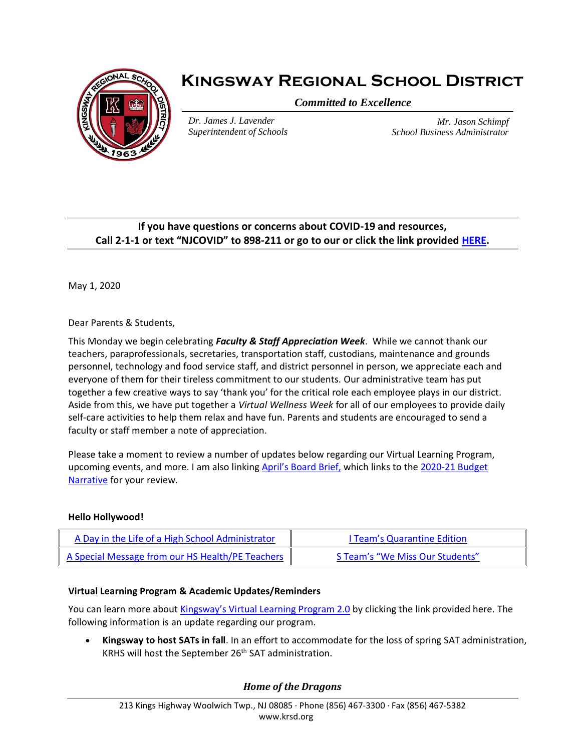

# **Kingsway Regional School District**

*Committed to Excellence*

*Dr. James J. Lavender Superintendent of Schools*

*Mr. Jason Schimpf School Business Administrator*

## **If you have questions or concerns about COVID-19 and resources, Call 2-1-1 or text "NJCOVID" to 898-211 or go to our or click the link provided [HERE.](https://www.nj.gov/dcf/news/Hotlines&Helplines-COVID.pdf)**

May 1, 2020

Dear Parents & Students,

This Monday we begin celebrating *Faculty & Staff Appreciation Week*. While we cannot thank our teachers, paraprofessionals, secretaries, transportation staff, custodians, maintenance and grounds personnel, technology and food service staff, and district personnel in person, we appreciate each and everyone of them for their tireless commitment to our students. Our administrative team has put together a few creative ways to say 'thank you' for the critical role each employee plays in our district. Aside from this, we have put together a *Virtual Wellness Week* for all of our employees to provide daily self-care activities to help them relax and have fun. Parents and students are encouraged to send a faculty or staff member a note of appreciation.

Please take a moment to review a number of updates below regarding our Virtual Learning Program, upcoming events, and more. I am also linking [April's Board Brief,](https://www.krsd.org/site/handlers/filedownload.ashx?moduleinstanceid=3652&dataid=6645&FileName=April%202020%20Board%20Brief.pdf) which links to the 2020-21 Budget [Narrative](https://www.krsd.org/site/handlers/filedownload.ashx?moduleinstanceid=909&dataid=6642&FileName=2020-21%20Budget%20Narrative%20-%20Final.pdf) for your review.

### **Hello Hollywood!**

| A Day in the Life of a High School Administrator | I Team's Quarantine Edition     |
|--------------------------------------------------|---------------------------------|
| A Special Message from our HS Health/PE Teachers | S Team's "We Miss Our Students" |

### **Virtual Learning Program & Academic Updates/Reminders**

You can learn more about [Kingsway's Virtual Learning Program 2.0](https://www.krsd.org/Page/1699) by clicking the link provided here. The following information is an update regarding our program.

• **Kingsway to host SATs in fall**. In an effort to accommodate for the loss of spring SAT administration, KRHS will host the September 26<sup>th</sup> SAT administration.

## *Home of the Dragons*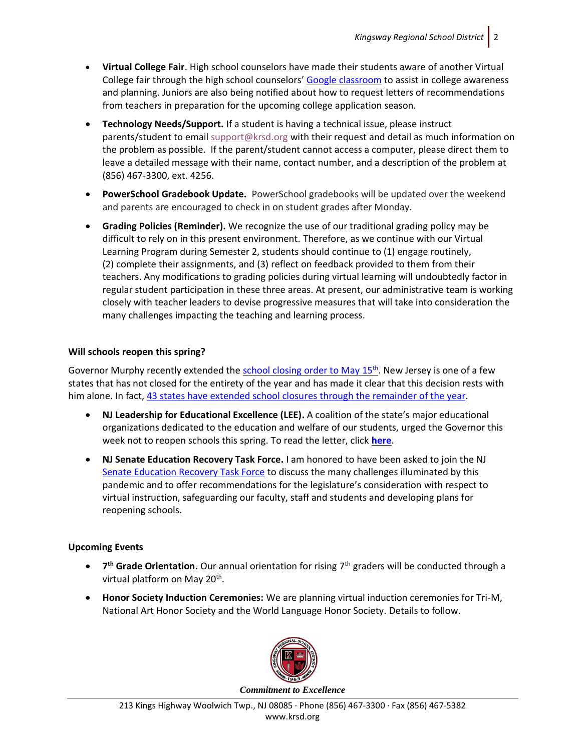- **Virtual College Fair**. High school counselors have made their students aware of another Virtual College fair through the high school counselors' [Google classroom](https://sites.google.com/krsd.us/krsd-counseling-department/) to assist in college awareness and planning. Juniors are also being notified about how to request letters of recommendations from teachers in preparation for the upcoming college application season.
- **Technology Needs/Support.** If a student is having a technical issue, please instruct parents/student to email [support@krsd.org](mailto:support@krsd.org) with their request and detail as much information on the problem as possible. If the parent/student cannot access a computer, please direct them to leave a detailed message with their name, contact number, and a description of the problem at (856) 467-3300, ext. 4256.
- **PowerSchool Gradebook Update.** PowerSchool gradebooks will be updated over the weekend and parents are encouraged to check in on student grades after Monday.
- **Grading Policies (Reminder).** We recognize the use of our traditional grading policy may be difficult to rely on in this present environment. Therefore, as we continue with our Virtual Learning Program during Semester 2, students should continue to (1) engage routinely, (2) complete their assignments, and (3) reflect on feedback provided to them from their teachers. Any modifications to grading policies during virtual learning will undoubtedly factor in regular student participation in these three areas. At present, our administrative team is working closely with teacher leaders to devise progressive measures that will take into consideration the many challenges impacting the teaching and learning process.

#### **Will schools reopen this spring?**

Governor Murphy recently extended the [school closing order to May 15](https://www.fox29.com/news/new-jersey-orders-schools-to-remain-closed-through-may-15)<sup>th</sup>. New Jersey is one of a few states that has not closed for the entirety of the year and has made it clear that this decision rests with him alone. In fact, [43 states have extended school closures through the remainder](https://thejournal.com/articles/2020/03/17/list-of-states-shutting-down-all-their-schools-grows-to-36.aspx) of the year.

- **NJ Leadership for Educational Excellence (LEE).** A coalition of the state's major educational organizations dedicated to the education and welfare of our students, urged the Governor this week not to reopen schools this spring. To read the letter, click **[here](https://www.krsd.org/cms/lib/NJ01912751/Centricity/Domain/121/LEED%20Group%20Letter%20to%20Gov.%20Murphy%204.28.2020.pdf)**.
- **NJ Senate Education Recovery Task Force.** I am honored to have been asked to join the NJ Senate [Education Recovery Task Force](https://www.insidernj.com/senate-education-recovery-task-force-holds-first-meeting/) to discuss the many challenges illuminated by this pandemic and to offer recommendations for the legislature's consideration with respect to virtual instruction, safeguarding our faculty, staff and students and developing plans for reopening schools.

#### **Upcoming Events**

- **7 th Grade Orientation.** Our annual orientation for rising 7th graders will be conducted through a virtual platform on May 20<sup>th</sup>.
- **Honor Society Induction Ceremonies:** We are planning virtual induction ceremonies for Tri-M, National Art Honor Society and the World Language Honor Society. Details to follow.



*Commitment to Excellence*